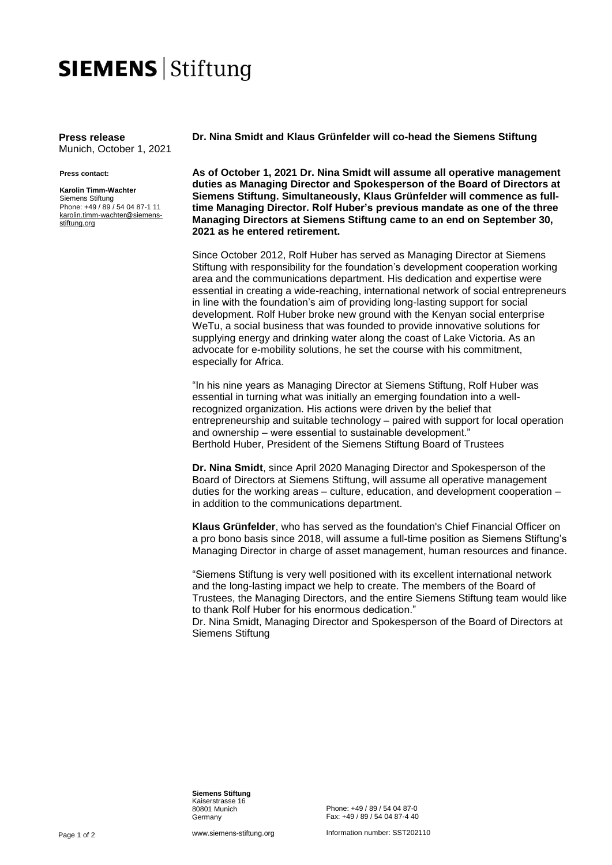## **SIEMENS Stiftung**

**Press release** Munich, October 1, 2021

## **Press contact:**

**Karolin Timm-Wachter** Siemens Stiftung Phone: +49 / 89 / 54 04 87-1 11 [karolin.timm-wachter@siemens](mailto:karolin.timm-wachter@siemens-stiftung.org)[stiftung.org](mailto:karolin.timm-wachter@siemens-stiftung.org)

**Dr. Nina Smidt and Klaus Grünfelder will co-head the Siemens Stiftung**

**As of October 1, 2021 Dr. Nina Smidt will assume all operative management duties as Managing Director and Spokesperson of the Board of Directors at Siemens Stiftung. Simultaneously, Klaus Grünfelder will commence as fulltime Managing Director. Rolf Huber's previous mandate as one of the three Managing Directors at Siemens Stiftung came to an end on September 30, 2021 as he entered retirement.**

Since October 2012, Rolf Huber has served as Managing Director at Siemens Stiftung with responsibility for the foundation's development cooperation working area and the communications department. His dedication and expertise were essential in creating a wide-reaching, international network of social entrepreneurs in line with the foundation's aim of providing long-lasting support for social development. Rolf Huber broke new ground with the Kenyan social enterprise WeTu, a social business that was founded to provide innovative solutions for supplying energy and drinking water along the coast of Lake Victoria. As an advocate for e-mobility solutions, he set the course with his commitment, especially for Africa.

"In his nine years as Managing Director at Siemens Stiftung, Rolf Huber was essential in turning what was initially an emerging foundation into a wellrecognized organization. His actions were driven by the belief that entrepreneurship and suitable technology – paired with support for local operation and ownership – were essential to sustainable development." Berthold Huber, President of the Siemens Stiftung Board of Trustees

**Dr. Nina Smidt**, since April 2020 Managing Director and Spokesperson of the Board of Directors at Siemens Stiftung, will assume all operative management duties for the working areas – culture, education, and development cooperation – in addition to the communications department.

**Klaus Grünfelder**, who has served as the foundation's Chief Financial Officer on a pro bono basis since 2018, will assume a full-time position as Siemens Stiftung's Managing Director in charge of asset management, human resources and finance.

"Siemens Stiftung is very well positioned with its excellent international network and the long-lasting impact we help to create. The members of the Board of Trustees, the Managing Directors, and the entire Siemens Stiftung team would like to thank Rolf Huber for his enormous dedication."

Dr. Nina Smidt, Managing Director and Spokesperson of the Board of Directors at Siemens Stiftung

**Siemens Stiftung** Kaiserstrasse 16 80801 Munich Germany

Phone: +49 / 89 / 54 04 87-0 Fax: +49 / 89 / 54 04 87-4 40